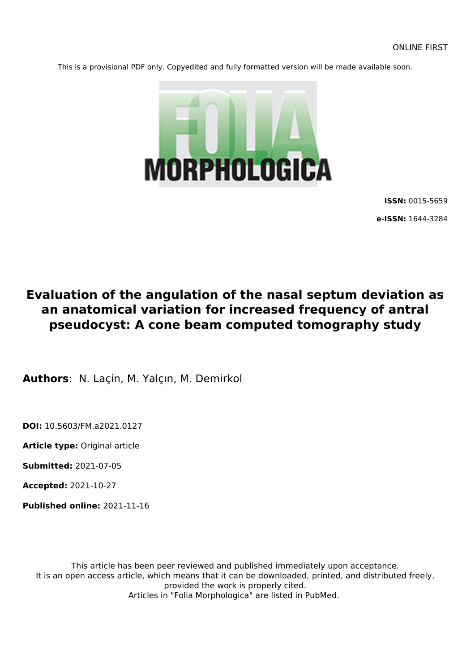This is a provisional PDF only. Copyedited and fully formatted version will be made available soon.



**ISSN:** 0015-5659 **e-ISSN:** 1644-3284

# **Evaluation of the angulation of the nasal septum deviation as an anatomical variation for increased frequency of antral pseudocyst: A cone beam computed tomography study**

**Authors**: N. Laçin, M. Yalçın, M. Demirkol

**DOI:** 10.5603/FM.a2021.0127

**Article type:** Original article

**Submitted:** 2021-07-05

**Accepted:** 2021-10-27

**Published online:** 2021-11-16

This article has been peer reviewed and published immediately upon acceptance. It is an open access article, which means that it can be downloaded, printed, and distributed freely, provided the work is properly cited. Articles in "Folia Morphologica" are listed in PubMed.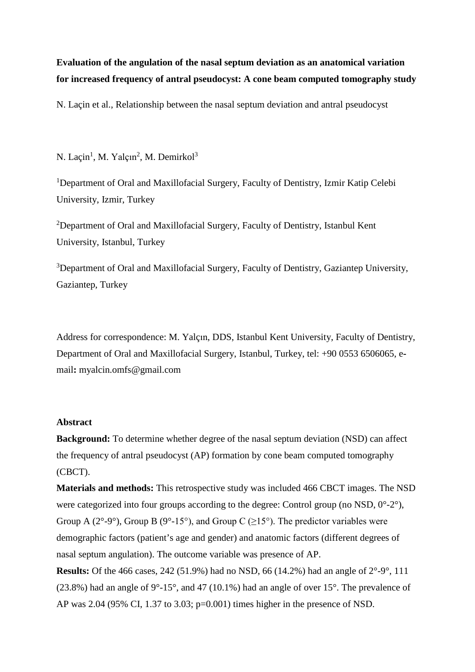# **Evaluation of the angulation of the nasal septum deviation as an anatomical variation for increased frequency of antral pseudocyst: A cone beam computed tomography study**

N. Laçin et al., Relationship between the nasal septum deviation and antral pseudocyst

N. Laçin<sup>1</sup>, M. Yalçın<sup>2</sup>, M. Demirkol<sup>3</sup>

<sup>1</sup>Department of Oral and Maxillofacial Surgery, Faculty of Dentistry, Izmir Katip Celebi University, Izmir, Turkey

<sup>2</sup>Department of Oral and Maxillofacial Surgery, Faculty of Dentistry, Istanbul Kent University, Istanbul, Turkey

<sup>3</sup>Department of Oral and Maxillofacial Surgery, Faculty of Dentistry, Gaziantep University, Gaziantep, Turkey

Address for correspondence: M. Yalçın, DDS, Istanbul Kent University, Faculty of Dentistry, Department of Oral and Maxillofacial Surgery, Istanbul, Turkey, tel: +90 0553 6506065, email**:** myalcin.omfs@gmail.com

#### **Abstract**

**Background:** To determine whether degree of the nasal septum deviation (NSD) can affect the frequency of antral pseudocyst (AP) formation by cone beam computed tomography (CBCT).

**Materials and methods:** This retrospective study was included 466 CBCT images. The NSD were categorized into four groups according to the degree: Control group (no NSD,  $0^{\circ}$ -2°), Group A (2°-9°), Group B (9°-15°), and Group C ( $\geq$ 15°). The predictor variables were demographic factors (patient's age and gender) and anatomic factors (different degrees of nasal septum angulation). The outcome variable was presence of AP. **Results:** Of the 466 cases, 242 (51.9%) had no NSD, 66 (14.2%) had an angle of  $2^{\circ}$ -9°, 111 (23.8%) had an angle of  $9^{\circ}$ -15°, and 47 (10.1%) had an angle of over 15°. The prevalence of AP was 2.04 (95% CI, 1.37 to 3.03; p=0.001) times higher in the presence of NSD.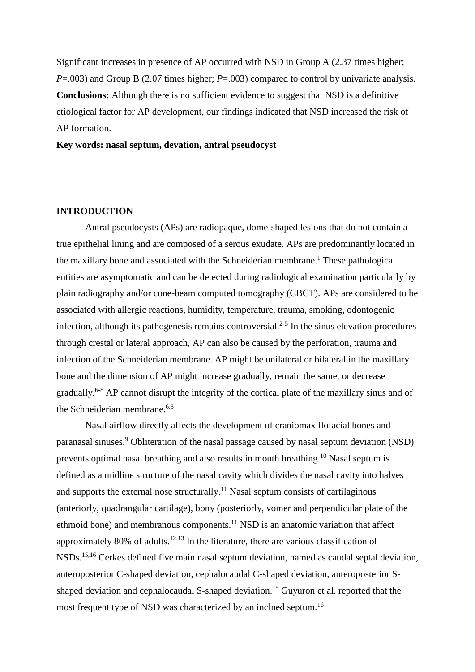Significant increases in presence of AP occurred with NSD in Group A (2.37 times higher; *P*=.003) and Group B (2.07 times higher; *P*=.003) compared to control by univariate analysis. **Conclusions:** Although there is no sufficient evidence to suggest that NSD is a definitive etiological factor for AP development, our findings indicated that NSD increased the risk of AP formation.

**Key words: nasal septum, devation, antral pseudocyst**

#### **INTRODUCTION**

Antral pseudocysts (APs) are radiopaque, dome-shaped lesions that do not contain a true epithelial lining and are composed of a serous exudate. APs are predominantly located in the maxillary bone and associated with the Schneiderian membrane. <sup>1</sup> These pathological entities are asymptomatic and can be detected during radiological examination particularly by plain radiography and/or cone-beam computed tomography (CBCT). APs are considered to be associated with allergic reactions, humidity, temperature, trauma, smoking, odontogenic infection, although its pathogenesis remains controversial.<sup>2-5</sup> In the sinus elevation procedures through crestal or lateral approach, AP can also be caused by the perforation, trauma and infection of the Schneiderian membrane. AP might be unilateral or bilateral in the maxillary bone and the dimension of AP might increase gradually, remain the same, or decrease gradually.<sup>6-8</sup> AP cannot disrupt the integrity of the cortical plate of the maxillary sinus and of the Schneiderian membrane.<sup>6,8</sup>

Nasal airflow directly affects the development of craniomaxillofacial bones and paranasal sinuses. <sup>9</sup> Obliteration of the nasal passage caused by nasal septum deviation (NSD) prevents optimal nasal breathing and also results in mouth breathing. <sup>10</sup> Nasal septum is defined as a midline structure of the nasal cavity which divides the nasal cavity into halves and supports the external nose structurally.<sup>11</sup> Nasal septum consists of cartilaginous (anteriorly, quadrangular cartilage), bony (posteriorly, vomer and perpendicular plate of the ethmoid bone) and membranous components.<sup>11</sup> NSD is an anatomic variation that affect approximately 80% of adults.<sup>12,13</sup> In the literature, there are various classification of NSDs.15,16 Cerkes defined five main nasal septum deviation, named as caudal septal deviation, anteroposterior C-shaped deviation, cephalocaudal C-shaped deviation, anteroposterior Sshaped deviation and cephalocaudal S-shaped deviation. <sup>15</sup> Guyuron et al. reported that the most frequent type of NSD was characterized by an inclned septum.<sup>16</sup>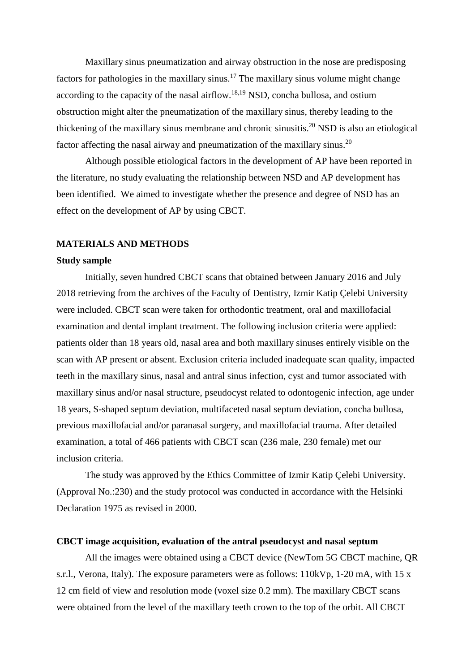Maxillary sinus pneumatization and airway obstruction in the nose are predisposing factors for pathologies in the maxillary sinus.<sup>17</sup> The maxillary sinus volume might change according to the capacity of the nasal airflow.<sup>18,19</sup> NSD, concha bullosa, and ostium obstruction might alter the pneumatization of the maxillary sinus, thereby leading to the thickening of the maxillary sinus membrane and chronic sinusitis. <sup>20</sup> NSD is also an etiological factor affecting the nasal airway and pneumatization of the maxillary sinus.<sup>20</sup>

Although possible etiological factors in the development of AP have been reported in the literature, no study evaluating the relationship between NSD and AP development has been identified. We aimed to investigate whether the presence and degree of NSD has an effect on the development of AP by using CBCT.

### **MATERIALS AND METHODS**

#### **Study sample**

Initially, seven hundred CBCT scans that obtained between January 2016 and July 2018 retrieving from the archives of the Faculty of Dentistry, Izmir Katip Çelebi University were included. CBCT scan were taken for orthodontic treatment, oral and maxillofacial examination and dental implant treatment. The following inclusion criteria were applied: patients older than 18 years old, nasal area and both maxillary sinuses entirely visible on the scan with AP present or absent. Exclusion criteria included inadequate scan quality, impacted teeth in the maxillary sinus, nasal and antral sinus infection, cyst and tumor associated with maxillary sinus and/or nasal structure, pseudocyst related to odontogenic infection, age under 18 years, S-shaped septum deviation, multifaceted nasal septum deviation, concha bullosa, previous maxillofacial and/or paranasal surgery, and maxillofacial trauma. After detailed examination, a total of 466 patients with CBCT scan (236 male, 230 female) met our inclusion criteria.

The study was approved by the Ethics Committee of Izmir Katip Çelebi University. (Approval No.:230) and the study protocol was conducted in accordance with the Helsinki Declaration 1975 as revised in 2000.

#### **CBCT image acquisition, evaluation of the antral pseudocyst and nasal septum**

All the images were obtained using a CBCT device (NewTom 5G CBCT machine, QR s.r.l., Verona, Italy). The exposure parameters were as follows: 110kVp, 1-20 mA, with 15 x 12 cm field of view and resolution mode (voxel size 0.2 mm). The maxillary CBCT scans were obtained from the level of the maxillary teeth crown to the top of the orbit. All CBCT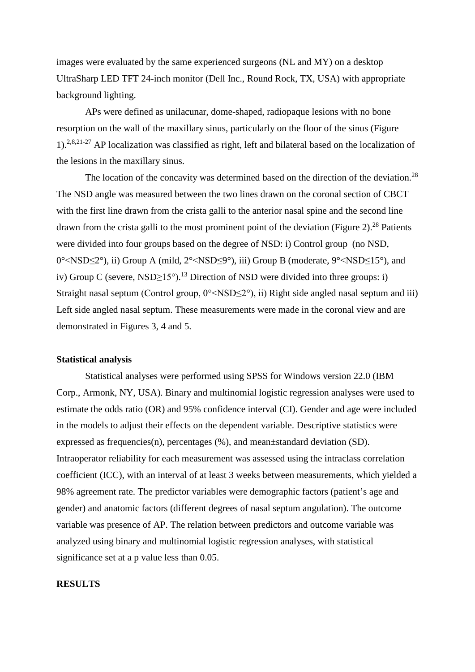images were evaluated by the same experienced surgeons (NL and MY) on a desktop UltraSharp LED TFT 24-inch monitor (Dell Inc., Round Rock, TX, USA) with appropriate background lighting.

APs were defined as unilacunar, dome-shaped, radiopaque lesions with no bone resorption on the wall of the maxillary sinus, particularly on the floor of the sinus (Figure 1). 2,8,21-27 AP localization was classified as right, left and bilateral based on the localization of the lesions in the maxillary sinus.

The location of the concavity was determined based on the direction of the deviation.<sup>28</sup> The NSD angle was measured between the two lines drawn on the coronal section of CBCT with the first line drawn from the crista galli to the anterior nasal spine and the second line drawn from the crista galli to the most prominent point of the deviation (Figure 2).<sup>28</sup> Patients were divided into four groups based on the degree of NSD: i) Control group (no NSD, 0°<NSD≤2°), ii) Group A (mild, 2°<NSD≤9°), iii) Group B (moderate, 9°<NSD≤15°), and iv) Group C (severe, NSD $\geq$ 15°).<sup>13</sup> Direction of NSD were divided into three groups: i) Straight nasal septum (Control group,  $0^{\circ}$  <NSD  $\leq$  2°), ii) Right side angled nasal septum and iii) Left side angled nasal septum. These measurements were made in the coronal view and are demonstrated in Figures 3, 4 and 5.

#### **Statistical analysis**

Statistical analyses were performed using SPSS for Windows version 22.0 (IBM Corp., Armonk, NY, USA). Binary and multinomial logistic regression analyses were used to estimate the odds ratio (OR) and 95% confidence interval (CI). Gender and age were included in the models to adjust their effects on the dependent variable. Descriptive statistics were expressed as frequencies(n), percentages (%), and mean±standard deviation (SD). Intraoperator reliability for each measurement was assessed using the intraclass correlation coefficient (ICC), with an interval of at least 3 weeks between measurements, which yielded a 98% agreement rate. The predictor variables were demographic factors (patient's age and gender) and anatomic factors (different degrees of nasal septum angulation). The outcome variable was presence of AP. The relation between predictors and outcome variable was analyzed using binary and multinomial logistic regression analyses, with statistical significance set at a p value less than 0.05.

#### **RESULTS**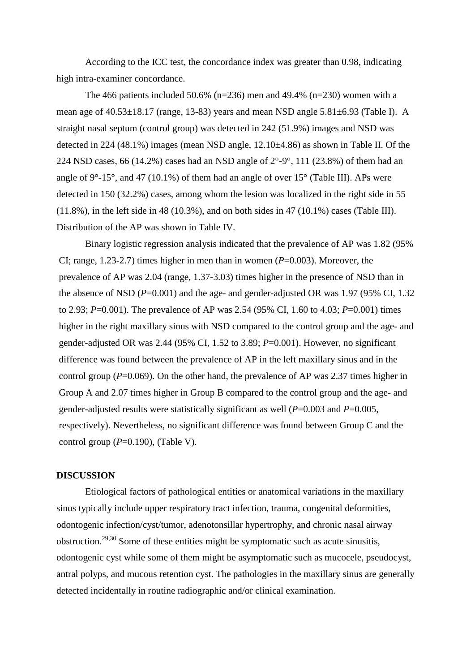According to the ICC test, the concordance index was greater than 0.98, indicating high intra-examiner concordance.

The 466 patients included 50.6% (n=236) men and 49.4% (n=230) women with a mean age of 40.53±18.17 (range, 13-83) years and mean NSD angle 5.81±6.93 (Table I). A straight nasal septum (control group) was detected in 242 (51.9%) images and NSD was detected in 224 (48.1%) images (mean NSD angle,  $12.10\pm4.86$ ) as shown in Table II. Of the 224 NSD cases, 66 (14.2%) cases had an NSD angle of  $2^{\circ}$ -9°, 111 (23.8%) of them had an angle of  $9^{\circ}$ -15°, and 47 (10.1%) of them had an angle of over 15° (Table III). APs were detected in 150 (32.2%) cases, among whom the lesion was localized in the right side in 55  $(11.8\%)$ , in the left side in 48 (10.3%), and on both sides in 47 (10.1%) cases (Table III). Distribution of the AP was shown in Table IV.

Binary logistic regression analysis indicated that the prevalence of AP was 1.82 (95% CI; range, 1.23-2.7) times higher in men than in women (*P*=0.003). Moreover, the prevalence of AP was 2.04 (range, 1.37-3.03) times higher in the presence of NSD than in the absence of NSD  $(P=0.001)$  and the age- and gender-adjusted OR was 1.97 (95% CI, 1.32) to 2.93; *P*=0.001). The prevalence of AP was 2.54 (95% CI, 1.60 to 4.03; *P*=0.001) times higher in the right maxillary sinus with NSD compared to the control group and the age- and gender-adjusted OR was 2.44 (95% CI, 1.52 to 3.89; *P*=0.001). However, no significant difference was found between the prevalence of AP in the left maxillary sinus and in the control group ( $P=0.069$ ). On the other hand, the prevalence of AP was 2.37 times higher in Group A and 2.07 times higher in Group B compared to the control group and the age- and gender-adjusted results were statistically significant as well (*P*=0.003 and *P*=0.005, respectively). Nevertheless, no significant difference was found between Group C and the control group (*P*=0.190), (Table V).

## **DISCUSSION**

Etiological factors of pathological entities or anatomical variations in the maxillary sinus typically include upper respiratory tract infection, trauma, congenital deformities, odontogenic infection/cyst/tumor, adenotonsillar hypertrophy, and chronic nasal airway obstruction.<sup>29,30</sup> Some of these entities might be symptomatic such as acute sinusitis, odontogenic cyst while some of them might be asymptomatic such as mucocele, pseudocyst, antral polyps, and mucous retention cyst. The pathologies in the maxillary sinus are generally detected incidentally in routine radiographic and/or clinical examination.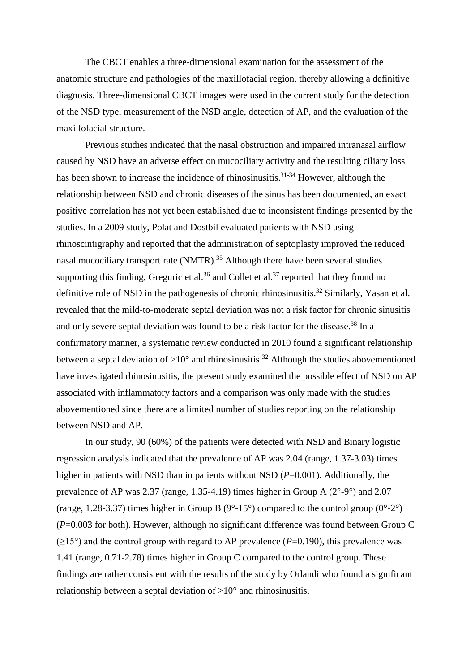The CBCT enables a three-dimensional examination for the assessment of the anatomic structure and pathologies of the maxillofacial region, thereby allowing a definitive diagnosis. Three-dimensional CBCT images were used in the current study for the detection of the NSD type, measurement of the NSD angle, detection of AP, and the evaluation of the maxillofacial structure.

Previous studies indicated that the nasal obstruction and impaired intranasal airflow caused by NSD have an adverse effect on mucociliary activity and the resulting ciliary loss has been shown to increase the incidence of rhinosinusitis.<sup>31-34</sup> However, although the relationship between NSD and chronic diseases of the sinus has been documented, an exact positive correlation has not yet been established due to inconsistent findings presented by the studies. In a 2009 study, Polat and Dostbil evaluated patients with NSD using rhinoscintigraphy and reported that the administration of septoplasty improved the reduced nasal mucociliary transport rate (NMTR).<sup>35</sup> Although there have been several studies supporting this finding, Greguric et al.<sup>36</sup> and Collet et al.<sup>37</sup> reported that they found no definitive role of NSD in the pathogenesis of chronic rhinosinusitis.<sup>32</sup> Similarly, Yasan et al. revealed that the mild-to-moderate septal deviation was not a risk factor for chronic sinusitis and only severe septal deviation was found to be a risk factor for the disease.<sup>38</sup> In a confirmatory manner, a systematic review conducted in 2010 found a significant relationship between a septal deviation of  $>10^{\circ}$  and rhinosinusitis.<sup>32</sup> Although the studies abovementioned have investigated rhinosinusitis, the present study examined the possible effect of NSD on AP associated with inflammatory factors and a comparison was only made with the studies abovementioned since there are a limited number of studies reporting on the relationship between NSD and AP.

In our study, 90 (60%) of the patients were detected with NSD and Binary logistic regression analysis indicated that the prevalence of AP was 2.04 (range, 1.37-3.03) times higher in patients with NSD than in patients without NSD (*P*=0.001). Additionally, the prevalence of AP was 2.37 (range, 1.35-4.19) times higher in Group A (2°-9°) and 2.07 (range, 1.28-3.37) times higher in Group B (9°-15°) compared to the control group (0°-2°) (*P*=0.003 for both). However, although no significant difference was found between Group C  $(\geq 15^{\circ})$  and the control group with regard to AP prevalence (*P*=0.190), this prevalence was 1.41 (range, 0.71-2.78) times higher in Group C compared to the control group. These findings are rather consistent with the results of the study by Orlandi who found a significant relationship between a septal deviation of >10° and rhinosinusitis.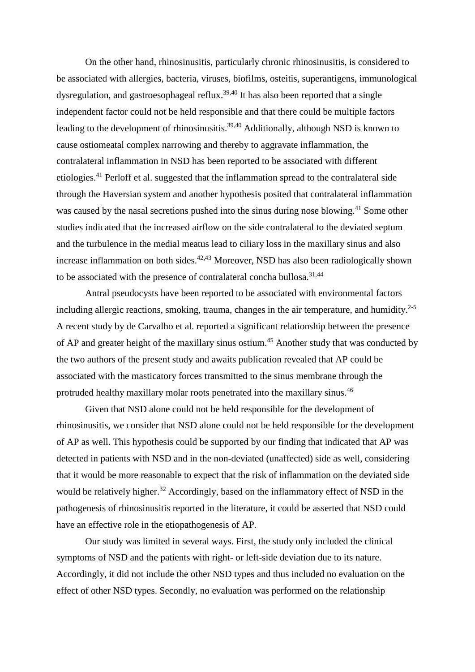On the other hand, rhinosinusitis, particularly chronic rhinosinusitis, is considered to be associated with allergies, bacteria, viruses, biofilms, osteitis, superantigens, immunological dysregulation, and gastroesophageal reflux.<sup>39,40</sup> It has also been reported that a single independent factor could not be held responsible and that there could be multiple factors leading to the development of rhinosinusitis.<sup>39,40</sup> Additionally, although NSD is known to cause ostiomeatal complex narrowing and thereby to aggravate inflammation, the contralateral inflammation in NSD has been reported to be associated with different etiologies.<sup>41</sup> Perloff et al. suggested that the inflammation spread to the contralateral side through the Haversian system and another hypothesis posited that contralateral inflammation was caused by the nasal secretions pushed into the sinus during nose blowing.<sup>41</sup> Some other studies indicated that the increased airflow on the side contralateral to the deviated septum and the turbulence in the medial meatus lead to ciliary loss in the maxillary sinus and also increase inflammation on both sides. 42,43 Moreover, NSD has also been radiologically shown to be associated with the presence of contralateral concha bullosa.<sup>31,44</sup>

Antral pseudocysts have been reported to be associated with environmental factors including allergic reactions, smoking, trauma, changes in the air temperature, and humidity.<sup>2-5</sup> A recent study by de Carvalho et al. reported a significant relationship between the presence of AP and greater height of the maxillary sinus ostium. <sup>45</sup> Another study that was conducted by the two authors of the present study and awaits publication revealed that AP could be associated with the masticatory forces transmitted to the sinus membrane through the protruded healthy maxillary molar roots penetrated into the maxillary sinus.<sup>46</sup>

Given that NSD alone could not be held responsible for the development of rhinosinusitis, we consider that NSD alone could not be held responsible for the development of AP as well. This hypothesis could be supported by our finding that indicated that AP was detected in patients with NSD and in the non-deviated (unaffected) side as well, considering that it would be more reasonable to expect that the risk of inflammation on the deviated side would be relatively higher.<sup>32</sup> Accordingly, based on the inflammatory effect of NSD in the pathogenesis of rhinosinusitis reported in the literature, it could be asserted that NSD could have an effective role in the etiopathogenesis of AP.

Our study was limited in several ways. First, the study only included the clinical symptoms of NSD and the patients with right- or left-side deviation due to its nature. Accordingly, it did not include the other NSD types and thus included no evaluation on the effect of other NSD types. Secondly, no evaluation was performed on the relationship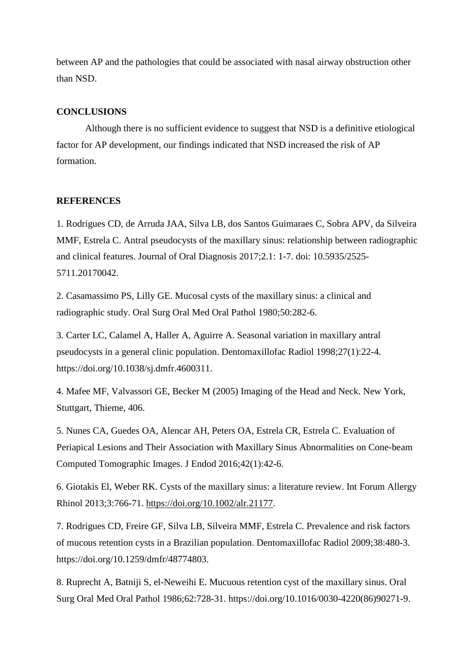between AP and the pathologies that could be associated with nasal airway obstruction other than NSD.

# **CONCLUSIONS**

Although there is no sufficient evidence to suggest that NSD is a definitive etiological factor for AP development, our findings indicated that NSD increased the risk of AP formation.

# **REFERENCES**

1. Rodrigues CD, de Arruda JAA, Silva LB, dos Santos Guimaraes C, Sobra APV, da Silveira MMF, Estrela C. Antral pseudocysts of the maxillary sinus: relationship between radiographic and clinical features. Journal of Oral Diagnosis 2017;2.1: 1-7. doi: 10.5935/2525- 5711.20170042.

2. Casamassimo PS, Lilly GE. Mucosal cysts of the maxillary sinus: a clinical and radiographic study. Oral Surg Oral Med Oral Pathol 1980;50:282-6.

3. Carter LC, Calamel A, Haller A, Aguirre A. Seasonal variation in maxillary antral pseudocysts in a general clinic population. Dentomaxillofac Radiol 1998;27(1):22-4. [https://doi.org/10.1038/sj.dmfr.4600311.](https://doi.org/10.1038/sj.dmfr.4600311)

4. Mafee MF, Valvassori GE, Becker M (2005) Imaging of the Head and Neck. New York, Stuttgart, Thieme, 406.

5. Nunes CA, Guedes OA, Alencar AH, Peters OA, Estrela CR, Estrela C. Evaluation of Periapical Lesions and Their Association with Maxillary Sinus Abnormalities on Cone-beam Computed Tomographic Images. J Endod 2016;42(1):42-6.

6. Giotakis El, Weber RK. Cysts of the maxillary sinus: a literature review. Int Forum Allergy Rhinol 2013;3:766-71. [https://doi.org/10.1002/alr.21177.](https://doi.org/10.1002/alr.21177)

7. Rodrigues CD, Freire GF, Silva LB, Silveira MMF, Estrela C. Prevalence and risk factors of mucous retention cysts in a Brazilian population. Dentomaxillofac Radiol 2009;38:480-3. https://doi.org/10.1259/dmfr/48774803.

8. Ruprecht A, Batniji S, el-Neweihi E. Mucuous retention cyst of the maxillary sinus. Oral Surg Oral Med Oral Pathol 1986;62:728-31. https://doi.org/10.1016/0030-4220(86)90271-9.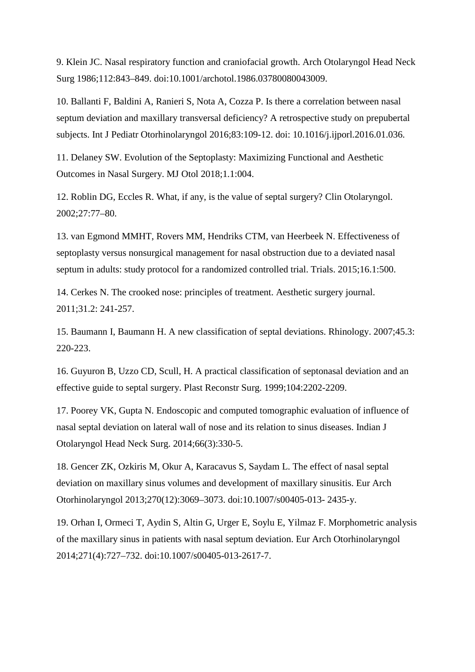9. Klein JC. Nasal respiratory function and craniofacial growth. Arch Otolaryngol Head Neck Surg 1986;112:843–849. doi:10.1001/archotol.1986.03780080043009.

10. Ballanti F, Baldini A, Ranieri S, Nota A, Cozza P. Is there a correlation between nasal septum deviation and maxillary transversal deficiency? A retrospective study on prepubertal subjects. Int J Pediatr Otorhinolaryngol 2016;83:109-12. doi: 10.1016/j.ijporl.2016.01.036.

11. Delaney SW. Evolution of the Septoplasty: Maximizing Functional and Aesthetic Outcomes in Nasal Surgery. MJ Otol 2018;1.1:004.

12. Roblin DG, Eccles R. What, if any, is the value of septal surgery? Clin Otolaryngol. 2002;27:77–80.

13. van Egmond MMHT, Rovers MM, Hendriks CTM, van Heerbeek N. Effectiveness of septoplasty versus nonsurgical management for nasal obstruction due to a deviated nasal septum in adults: study protocol for a randomized controlled trial. Trials. 2015;16.1:500.

14. Cerkes N. The crooked nose: principles of treatment. Aesthetic surgery journal. 2011;31.2: 241-257.

15. Baumann I, Baumann H. A new classification of septal deviations. Rhinology. 2007;45.3: 220-223.

16. Guyuron B, Uzzo CD, Scull, H. A practical classification of septonasal deviation and an effective guide to septal surgery. Plast Reconstr Surg. 1999;104:2202-2209.

17. Poorey VK, Gupta N. Endoscopic and computed tomographic evaluation of influence of nasal septal deviation on lateral wall of nose and its relation to sinus diseases. Indian J Otolaryngol Head Neck Surg. 2014;66(3):330-5.

18. Gencer ZK, Ozkiris M, Okur A, Karacavus S, Saydam L. The effect of nasal septal deviation on maxillary sinus volumes and development of maxillary sinusitis. Eur Arch Otorhinolaryngol 2013;270(12):3069–3073. doi:10.1007/s00405-013- 2435-y.

19. Orhan I, Ormeci T, Aydin S, Altin G, Urger E, Soylu E, Yilmaz F. Morphometric analysis of the maxillary sinus in patients with nasal septum deviation. Eur Arch Otorhinolaryngol 2014;271(4):727–732. doi:10.1007/s00405-013-2617-7.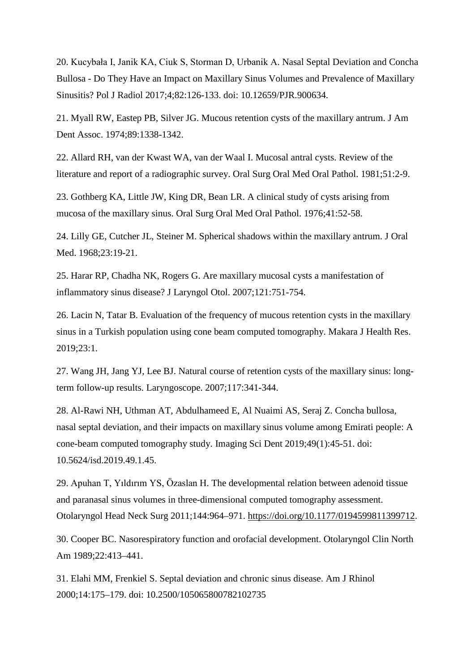20. Kucybała I, Janik KA, Ciuk S, Storman D, Urbanik A. Nasal Septal Deviation and Concha Bullosa - Do They Have an Impact on Maxillary Sinus Volumes and Prevalence of Maxillary Sinusitis? Pol J Radiol 2017;4;82:126-133. doi: 10.12659/PJR.900634.

21. Myall RW, Eastep PB, Silver JG. Mucous retention cysts of the maxillary antrum. J Am Dent Assoc. 1974;89:1338-1342.

22. Allard RH, van der Kwast WA, van der Waal I. Mucosal antral cysts. Review of the literature and report of a radiographic survey. Oral Surg Oral Med Oral Pathol. 1981;51:2-9.

23. Gothberg KA, Little JW, King DR, Bean LR. A clinical study of cysts arising from mucosa of the maxillary sinus. Oral Surg Oral Med Oral Pathol. 1976;41:52-58.

24. Lilly GE, Cutcher JL, Steiner M. Spherical shadows within the maxillary antrum. J Oral Med. 1968;23:19-21.

25. Harar RP, Chadha NK, Rogers G. Are maxillary mucosal cysts a manifestation of inflammatory sinus disease? J Laryngol Otol. 2007;121:751-754.

26. Lacin N, Tatar B. Evaluation of the frequency of mucous retention cysts in the maxillary sinus in a Turkish population using cone beam computed tomography. Makara J Health Res. 2019;23:1.

27. Wang JH, Jang YJ, Lee BJ. Natural course of retention cysts of the maxillary sinus: longterm follow-up results. Laryngoscope. 2007;117:341-344.

28. Al-Rawi NH, Uthman AT, Abdulhameed E, Al Nuaimi AS, Seraj Z. Concha bullosa, nasal septal deviation, and their impacts on maxillary sinus volume among Emirati people: A cone-beam computed tomography study. Imaging Sci Dent 2019;49(1):45-51. doi: 10.5624/isd.2019.49.1.45.

29. Apuhan T, Yıldırım YS, Özaslan H. The developmental relation between adenoid tissue and paranasal sinus volumes in three-dimensional computed tomography assessment. Otolaryngol Head Neck Surg 2011;144:964–971. [https://doi.org/10.1177/0194599811399712.](https://doi.org/10.1177/0194599811399712)

30. Cooper BC. Nasorespiratory function and orofacial development. Otolaryngol Clin North Am 1989;22:413–441.

31. Elahi MM, Frenkiel S. Septal deviation and chronic sinus disease. Am J Rhinol 2000;14:175–179. doi: 10.2500/105065800782102735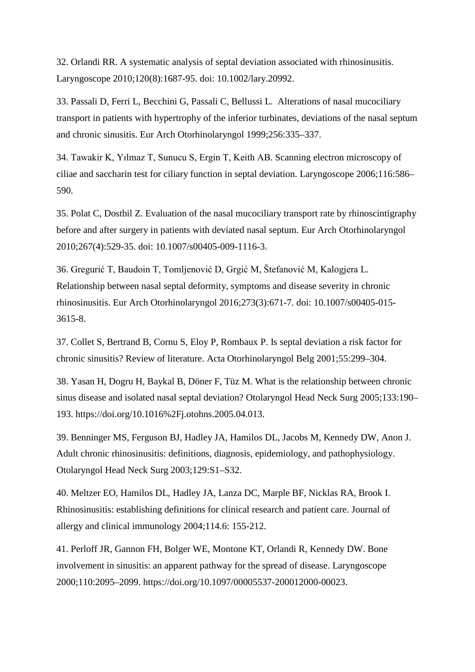32. Orlandi RR. A systematic analysis of septal deviation associated with rhinosinusitis. Laryngoscope 2010;120(8):1687-95. doi: 10.1002/lary.20992.

33. Passali D, Ferri L, Becchini G, Passali C, Bellussi L. Alterations of nasal mucociliary transport in patients with hypertrophy of the inferior turbinates, deviations of the nasal septum and chronic sinusitis. Eur Arch Otorhinolaryngol 1999;256:335–337.

34. Tawakir K, Yılmaz T, Sunucu S, Ergin T, Keith AB. Scanning electron microscopy of ciliae and saccharin test for ciliary function in septal deviation. Laryngoscope 2006;116:586– 590.

35. Polat C, Dostbil Z. Evaluation of the nasal mucociliary transport rate by rhinoscintigraphy before and after surgery in patients with deviated nasal septum. Eur Arch Otorhinolaryngol 2010;267(4):529-35. doi: 10.1007/s00405-009-1116-3.

36. Gregurić T, Baudoin T, Tomljenović D, Grgić M, Štefanović M, Kalogjera L. Relationship between nasal septal deformity, symptoms and disease severity in chronic rhinosinusitis. Eur Arch Otorhinolaryngol 2016;273(3):671-7. doi: 10.1007/s00405-015- 3615-8.

37. Collet S, Bertrand B, Cornu S, Eloy P, Rombaux P. Is septal deviation a risk factor for chronic sinusitis? Review of literature. Acta Otorhinolaryngol Belg 2001;55:299–304.

38. Yasan H, Dogru H, Baykal B, Döner F, Tüz M. What is the relationship between chronic sinus disease and isolated nasal septal deviation? Otolaryngol Head Neck Surg 2005;133:190– 193. https://doi.org/10.1016%2Fj.otohns.2005.04.013.

39. Benninger MS, Ferguson BJ, Hadley JA, Hamilos DL, Jacobs M, Kennedy DW, Anon J. Adult chronic rhinosinusitis: definitions, diagnosis, epidemiology, and pathophysiology. Otolaryngol Head Neck Surg 2003;129:S1–S32.

40. Meltzer EO, Hamilos DL, Hadley JA, Lanza DC, Marple BF, Nicklas RA, Brook I. Rhinosinusitis: establishing definitions for clinical research and patient care. Journal of allergy and clinical immunology 2004;114.6: 155-212.

41. Perloff JR, Gannon FH, Bolger WE, Montone KT, Orlandi R, Kennedy DW. Bone involvement in sinusitis: an apparent pathway for the spread of disease. Laryngoscope 2000;110:2095–2099. https://doi.org/10.1097/00005537-200012000-00023.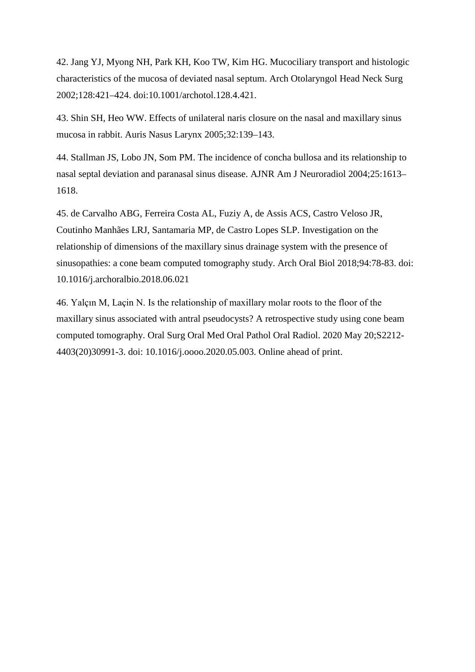42. Jang YJ, Myong NH, Park KH, Koo TW, Kim HG. Mucociliary transport and histologic characteristics of the mucosa of deviated nasal septum. Arch Otolaryngol Head Neck Surg 2002;128:421–424. doi:10.1001/archotol.128.4.421.

43. Shin SH, Heo WW. Effects of unilateral naris closure on the nasal and maxillary sinus mucosa in rabbit. Auris Nasus Larynx 2005;32:139–143.

44. Stallman JS, Lobo JN, Som PM. The incidence of concha bullosa and its relationship to nasal septal deviation and paranasal sinus disease. AJNR Am J Neuroradiol 2004;25:1613– 1618.

45. de Carvalho ABG, Ferreira Costa AL, Fuziy A, de Assis ACS, Castro Veloso JR, Coutinho Manhães LRJ, Santamaria MP, de Castro Lopes SLP. Investigation on the relationship of dimensions of the maxillary sinus drainage system with the presence of sinusopathies: a cone beam computed tomography study. Arch Oral Biol 2018;94:78-83. doi: 10.1016/j.archoralbio.2018.06.021

46. Yalçın M, Laçin N. Is the relationship of maxillary molar roots to the floor of the maxillary sinus associated with antral pseudocysts? A retrospective study using cone beam computed tomography. Oral Surg Oral Med Oral Pathol Oral Radiol. 2020 May 20;S2212- 4403(20)30991-3. doi: 10.1016/j.oooo.2020.05.003. Online ahead of print.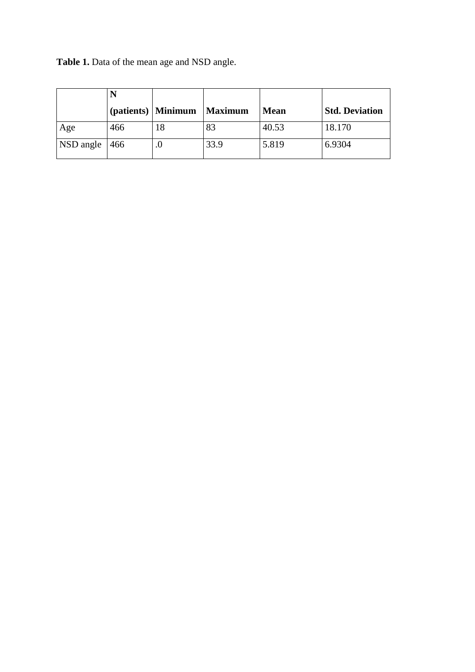**Table 1.** Data of the mean age and NSD angle.

|                               |     | (patients) Minimum | <b>Maximum</b> | <b>Mean</b> | <b>Std. Deviation</b> |  |  |
|-------------------------------|-----|--------------------|----------------|-------------|-----------------------|--|--|
| Age                           | 466 | 18                 | 83             | 40.53       | 18.170                |  |  |
| $\vert$ NSD angle $\vert$ 466 |     |                    | 33.9           | 5.819       | 6.9304                |  |  |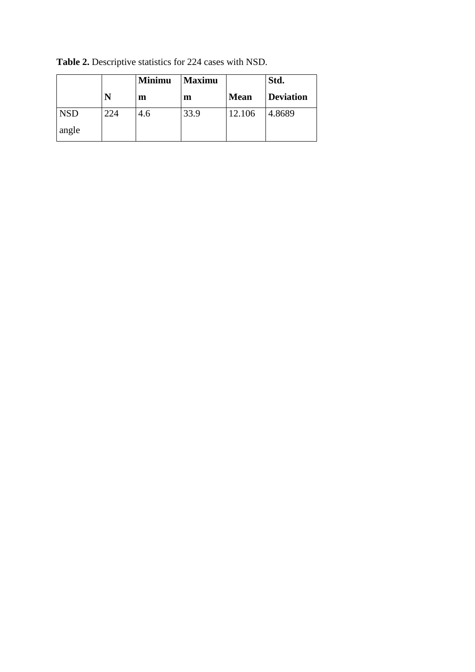|            |     | <b>Minimu</b> | <b>Maximu</b> |             | Std.             |  |
|------------|-----|---------------|---------------|-------------|------------------|--|
|            | N   | m             | m             | <b>Mean</b> | <b>Deviation</b> |  |
| <b>NSD</b> | 224 | 4.6           | 33.9          | 12.106      | 4.8689           |  |
| angle      |     |               |               |             |                  |  |

**Table 2.** Descriptive statistics for 224 cases with NSD.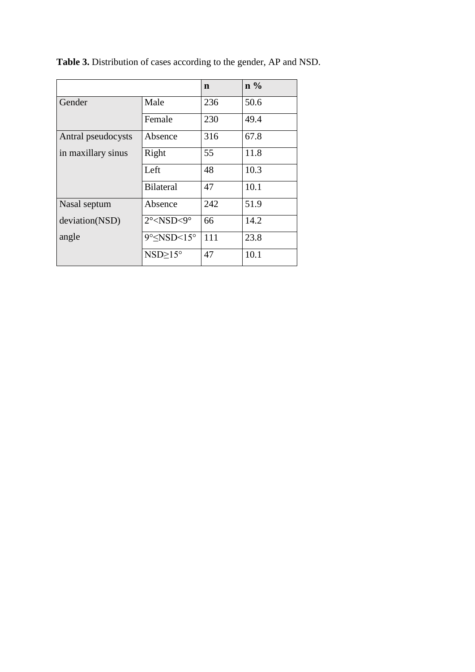|                    |                                                 | $\mathbf n$ | $n\%$ |
|--------------------|-------------------------------------------------|-------------|-------|
| Gender             | Male                                            | 236         | 50.6  |
|                    | Female                                          | 230         | 49.4  |
| Antral pseudocysts | Absence                                         | 316         | 67.8  |
| in maxillary sinus | Right                                           | 55          | 11.8  |
|                    | Left                                            | 48          | 10.3  |
|                    | <b>Bilateral</b>                                | 47          | 10.1  |
| Nasal septum       | Absence                                         | 242         | 51.9  |
| deviation(NSD)     | $2^\circ$ <nsd<9<math>^\circ</nsd<9<math>       | 66          | 14.2  |
| angle              | $9^{\circ}$ <nsd 15<math="" <="">^{\circ}</nsd> | 111         | 23.8  |
|                    | $NSD \geq 15^{\circ}$                           | 47          | 10.1  |

**Table 3.** Distribution of cases according to the gender, AP and NSD.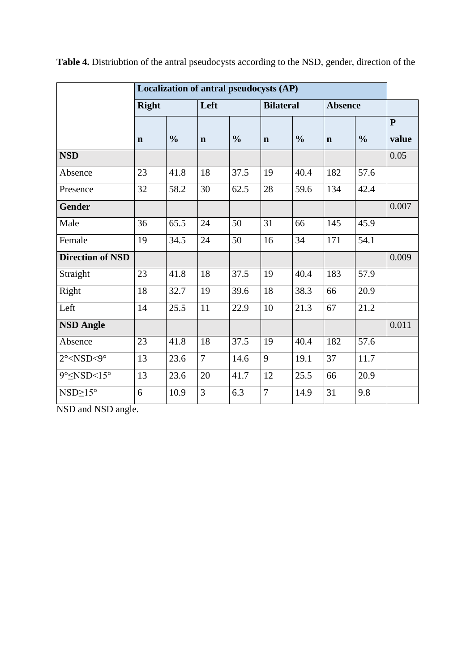|                                                                                                                                        | Localization of antral pseudocysts (AP) |               |                |               |                  |               |                |               |           |
|----------------------------------------------------------------------------------------------------------------------------------------|-----------------------------------------|---------------|----------------|---------------|------------------|---------------|----------------|---------------|-----------|
|                                                                                                                                        | <b>Right</b>                            |               | Left           |               | <b>Bilateral</b> |               | <b>Absence</b> |               |           |
|                                                                                                                                        |                                         |               |                |               |                  |               |                |               | ${\bf P}$ |
|                                                                                                                                        | $\mathbf n$                             | $\frac{0}{0}$ | $\mathbf n$    | $\frac{0}{0}$ | $\mathbf n$      | $\frac{0}{0}$ | $\mathbf n$    | $\frac{0}{0}$ | value     |
| <b>NSD</b>                                                                                                                             |                                         |               |                |               |                  |               |                |               | 0.05      |
| Absence                                                                                                                                | 23                                      | 41.8          | 18             | 37.5          | 19               | 40.4          | 182            | 57.6          |           |
| Presence                                                                                                                               | 32                                      | 58.2          | 30             | 62.5          | 28               | 59.6          | 134            | 42.4          |           |
| <b>Gender</b>                                                                                                                          |                                         |               |                |               |                  |               |                |               | 0.007     |
| Male                                                                                                                                   | 36                                      | 65.5          | 24             | 50            | 31               | 66            | 145            | 45.9          |           |
| Female                                                                                                                                 | 19                                      | 34.5          | 24             | 50            | 16               | 34            | 171            | 54.1          |           |
| <b>Direction of NSD</b>                                                                                                                |                                         |               |                |               |                  |               |                |               | 0.009     |
| Straight                                                                                                                               | 23                                      | 41.8          | 18             | 37.5          | 19               | 40.4          | 183            | 57.9          |           |
| Right                                                                                                                                  | 18                                      | 32.7          | 19             | 39.6          | 18               | 38.3          | 66             | 20.9          |           |
| Left                                                                                                                                   | 14                                      | 25.5          | 11             | 22.9          | 10               | 21.3          | 67             | 21.2          |           |
| <b>NSD Angle</b>                                                                                                                       |                                         |               |                |               |                  |               |                |               | 0.011     |
| Absence                                                                                                                                | 23                                      | 41.8          | 18             | 37.5          | 19               | 40.4          | 182            | 57.6          |           |
| $2^{\circ}$ <nsd<<math>9^{\circ}</nsd<<math>                                                                                           | 13                                      | 23.6          | $\overline{7}$ | 14.6          | 9                | 19.1          | 37             | 11.7          |           |
| 9° <nsd <15°<="" td=""><td>13</td><td>23.6</td><td>20</td><td>41.7</td><td>12</td><td>25.5</td><td>66</td><td>20.9</td><td></td></nsd> | 13                                      | 23.6          | 20             | 41.7          | 12               | 25.5          | 66             | 20.9          |           |
| $NSD \geq 15^{\circ}$                                                                                                                  | 6                                       | 10.9          | 3              | 6.3           | $\overline{7}$   | 14.9          | 31             | 9.8           |           |

**Table 4.** Distriubtion of the antral pseudocysts according to the NSD, gender, direction of the

NSD and NSD angle.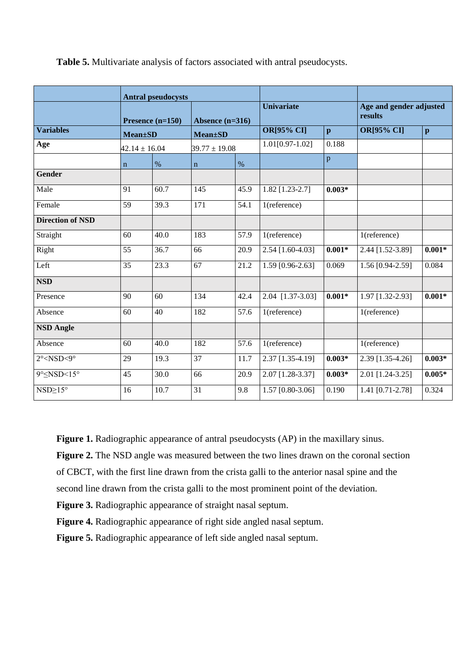|                                          | <b>Antral pseudocysts</b>            |                   |                                     |      |                   |              |                                    |              |
|------------------------------------------|--------------------------------------|-------------------|-------------------------------------|------|-------------------|--------------|------------------------------------|--------------|
|                                          | Presence $(n=150)$<br><b>Mean±SD</b> |                   | Absence $(n=316)$<br><b>Mean±SD</b> |      | <b>Univariate</b> |              | Age and gender adjusted<br>results |              |
| <b>Variables</b>                         |                                      |                   |                                     |      | <b>OR[95% CI]</b> | $\mathbf{p}$ | <b>OR[95% CI]</b>                  | $\mathbf{p}$ |
| Age                                      | $42.14 \pm 16.04$                    |                   | $39.77 \pm 19.08$                   |      | $1.01[0.97-1.02]$ | 0.188        |                                    |              |
|                                          | $\mathbf n$                          | $\%$              | $\mathbf n$                         | $\%$ |                   | $\mathbf{p}$ |                                    |              |
| Gender                                   |                                      |                   |                                     |      |                   |              |                                    |              |
| Male                                     | 91                                   | 60.7              | 145                                 | 45.9 | $1.82$ [1.23-2.7] | $0.003*$     |                                    |              |
| Female                                   | 59                                   | 39.3              | 171                                 | 54.1 | 1(reference)      |              |                                    |              |
| <b>Direction of NSD</b>                  |                                      |                   |                                     |      |                   |              |                                    |              |
| Straight                                 | 60                                   | 40.0              | 183                                 | 57.9 | 1(reference)      |              | 1(reference)                       |              |
| Right                                    | 55                                   | 36.7              | 66                                  | 20.9 | 2.54 [1.60-4.03]  | $0.001*$     | 2.44 [1.52-3.89]                   | $0.001*$     |
| Left                                     | $\overline{35}$                      | $\overline{23.3}$ | $\overline{67}$                     | 21.2 | 1.59 [0.96-2.63]  | 0.069        | 1.56 [0.94-2.59]                   | 0.084        |
| <b>NSD</b>                               |                                      |                   |                                     |      |                   |              |                                    |              |
| Presence                                 | 90                                   | 60                | 134                                 | 42.4 | 2.04 [1.37-3.03]  | $0.001*$     | 1.97 [1.32-2.93]                   | $0.001*$     |
| Absence                                  | 60                                   | 40                | 182                                 | 57.6 | 1(reference)      |              | 1(reference)                       |              |
| <b>NSD Angle</b>                         |                                      |                   |                                     |      |                   |              |                                    |              |
| Absence                                  | 60                                   | 40.0              | 182                                 | 57.6 | 1(reference)      |              | 1(reference)                       |              |
| $2^\circ$ <nsd<<math>9^\circ</nsd<<math> | 29                                   | 19.3              | 37                                  | 11.7 | 2.37 [1.35-4.19]  | $0.003*$     | 2.39 [1.35-4.26]                   | $0.003*$     |
| $9°\leq NSD < 15°$                       | 45                                   | 30.0              | 66                                  | 20.9 | 2.07 [1.28-3.37]  | $0.003*$     | 2.01 [1.24-3.25]                   | $0.005*$     |
| $NSD \geq 15^{\circ}$                    | 16                                   | 10.7              | 31                                  | 9.8  | 1.57 [0.80-3.06]  | 0.190        | 1.41 [0.71-2.78]                   | 0.324        |

**Table 5.** Multivariate analysis of factors associated with antral pseudocysts.

Figure 1. Radiographic appearance of antral pseudocysts (AP) in the maxillary sinus.

**Figure 2.** The NSD angle was measured between the two lines drawn on the coronal section

of CBCT, with the first line drawn from the crista galli to the anterior nasal spine and the

second line drawn from the crista galli to the most prominent point of the deviation.

Figure 3. Radiographic appearance of straight nasal septum.

**Figure 4.** Radiographic appearance of right side angled nasal septum.

**Figure 5.** Radiographic appearance of left side angled nasal septum.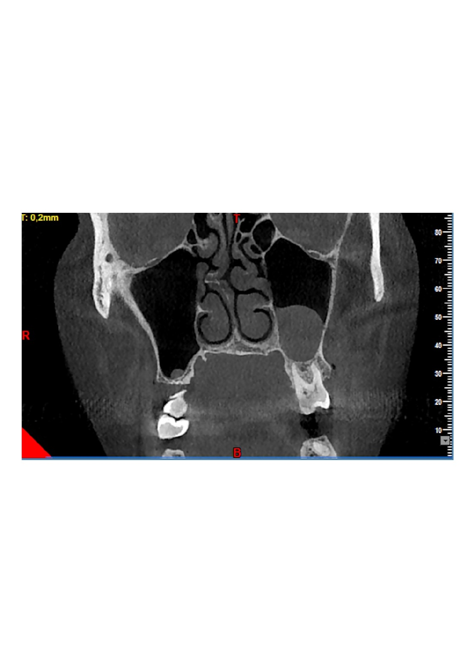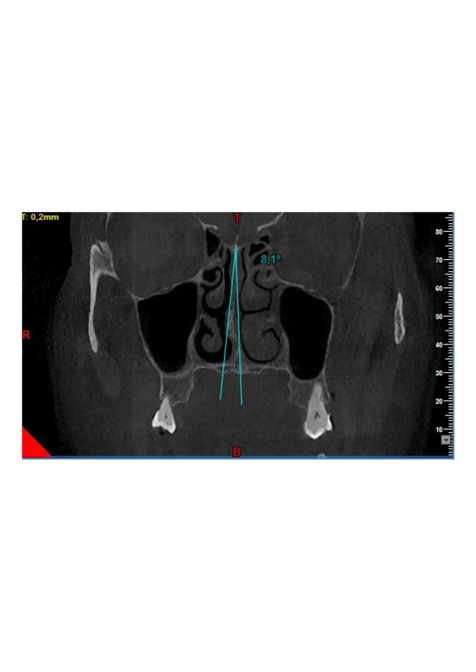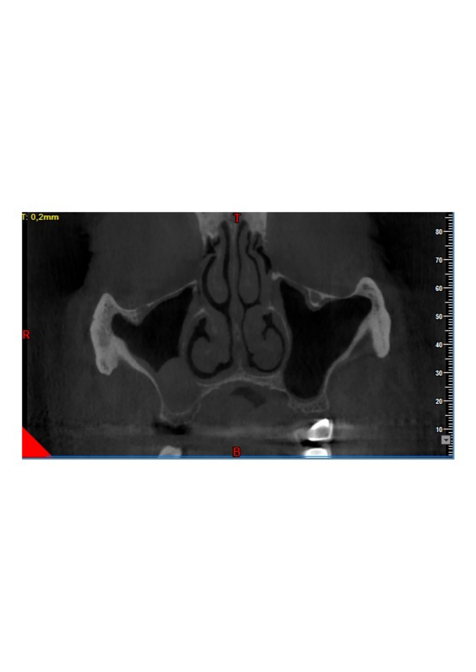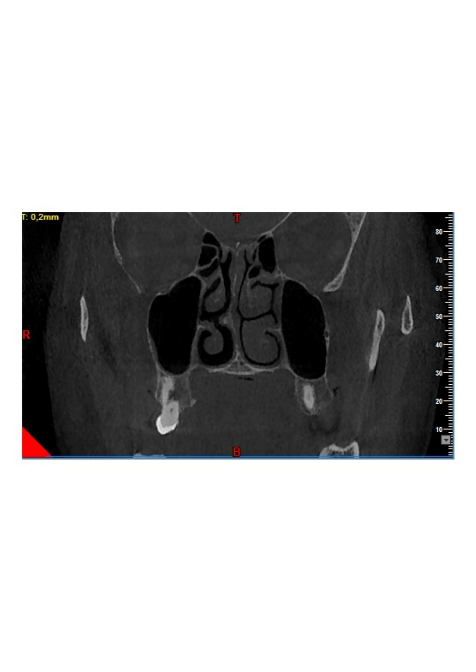